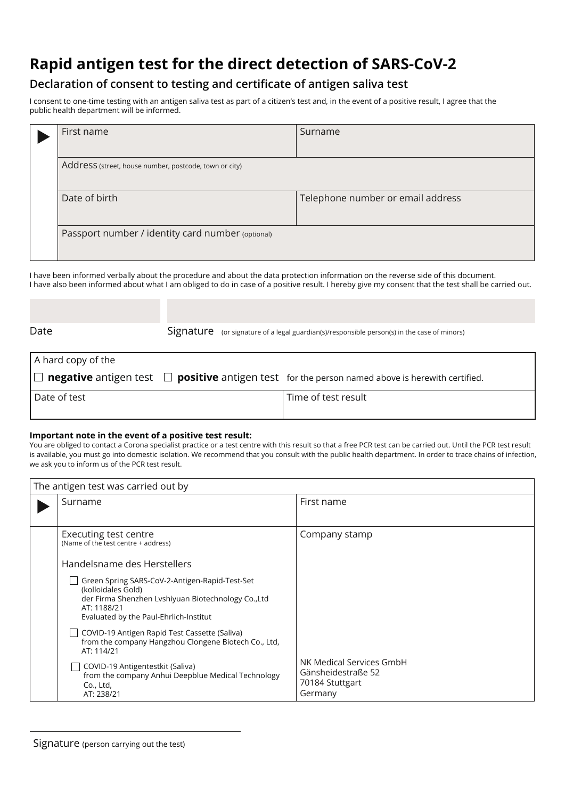## **Rapid antigen test for the direct detection of SARS-CoV-2**

## **Declaration of consent to testing and certificate of antigen saliva test**

I consent to one-time testing with an antigen saliva test as part of a citizen's test and, in the event of a positive result, I agree that the public health department will be informed.

| First name                                             | Surname                           |  |
|--------------------------------------------------------|-----------------------------------|--|
| Address (street, house number, postcode, town or city) |                                   |  |
| Date of birth                                          | Telephone number or email address |  |
| Passport number / identity card number (optional)      |                                   |  |

I have been informed verbally about the procedure and about the data protection information on the reverse side of this document. I have also been informed about what I am obliged to do in case of a positive result. I hereby give my consent that the test shall be carried out.

| Date                    | Signature (or signature of a legal guardian(s)/responsible person(s) in the case of minors)                         |
|-------------------------|---------------------------------------------------------------------------------------------------------------------|
|                         |                                                                                                                     |
| A hard copy of the      |                                                                                                                     |
| $\mathsf{I} \mathsf{I}$ | $\blacksquare$ negative antigen test $\Box$ positive antigen test for the person named above is herewith certified. |
| Date of test            | Time of test result                                                                                                 |
|                         |                                                                                                                     |

## **Important note in the event of a positive test result:**

You are obliged to contact a Corona specialist practice or a test centre with this result so that a free PCR test can be carried out. Until the PCR test result is available, you must go into domestic isolation. We recommend that you consult with the public health department. In order to trace chains of infection, we ask you to inform us of the PCR test result.

| The antigen test was carried out by |                                                                                                                                                                                      |                                                                              |  |  |
|-------------------------------------|--------------------------------------------------------------------------------------------------------------------------------------------------------------------------------------|------------------------------------------------------------------------------|--|--|
|                                     | Surname                                                                                                                                                                              | First name                                                                   |  |  |
|                                     | Executing test centre<br>(Name of the test centre + address)<br>Handelsname des Herstellers                                                                                          | Company stamp                                                                |  |  |
|                                     | Green Spring SARS-CoV-2-Antigen-Rapid-Test-Set<br>(kolloidales Gold)<br>der Firma Shenzhen Lyshiyuan Biotechnology Co., Ltd<br>AT: 1188/21<br>Evaluated by the Paul-Ehrlich-Institut |                                                                              |  |  |
|                                     | COVID-19 Antigen Rapid Test Cassette (Saliva)<br>from the company Hangzhou Clongene Biotech Co., Ltd,<br>AT: 114/21                                                                  |                                                                              |  |  |
|                                     | COVID-19 Antigentestkit (Saliva)<br>from the company Anhui Deepblue Medical Technology<br>Co., Ltd,<br>AT: 238/21                                                                    | NK Medical Services GmbH<br>Gänsheidestraße 52<br>70184 Stuttgart<br>Germany |  |  |